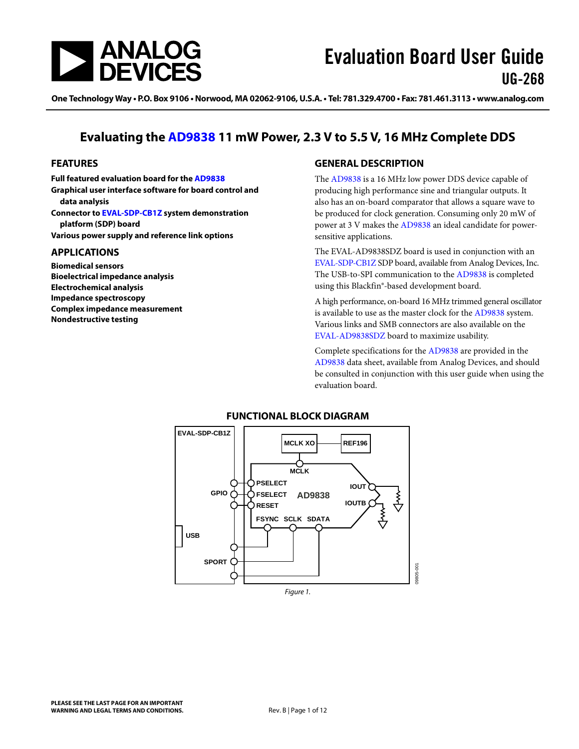

One Technology Way • P.O. Box 9106 • Norwood, MA 02062-9106, U.S.A. • Tel: 781.329.4700 • Fax: 781.461.3113 • www.analog.com

## **Evaluating the [AD9838](http://www.analog.com/AD9838?doc=UG-268.pdf) 11 mW Power, 2.3 V to 5.5 V, 16 MHz Complete DDS**

#### <span id="page-0-0"></span>**FEATURES**

**Full featured evaluation board for th[e AD9838](http://www.analog.com/AD9838?doc=UG-268.pdf) Graphical user interface software for board control and data analysis Connector t[o EVAL-SDP-CB1Z s](http://www.analog.com/sdplatform_userguide?doc=UG-268.pdf)ystem demonstration platform (SDP) board**

**Various power supply and reference link options**

#### <span id="page-0-1"></span>**APPLICATIONS**

**Biomedical sensors Bioelectrical impedance analysis Electrochemical analysis Impedance spectroscopy Complex impedance measurement Nondestructive testing**

#### <span id="page-0-2"></span>**GENERAL DESCRIPTION**

The [AD9838](http://www.analog.com/AD9838?doc=UG-268.pdf) is a 16 MHz low power DDS device capable of producing high performance sine and triangular outputs. It also has an on-board comparator that allows a square wave to be produced for clock generation. Consuming only 20 mW of power at 3 V makes the [AD9838](http://www.analog.com/AD9838?doc=UG-268.pdf) an ideal candidate for powersensitive applications.

The [EVAL-AD9838SDZ](http://www.analog.com/AD9838?doc=UG-268.pdf) board is used in conjunction with an [EVAL-SDP-CB1Z](http://www.analog.com/sdplatform_userguide) SDP board, available from Analog Devices, Inc. The USB-to-SPI communication to the [AD9838](http://www.analog.com/AD9838?doc=UG-268.pdf) is completed using this Blackfin®*-*based development board.

A high performance, on-board 16 MHz trimmed general oscillator is available to use as the master clock for the [AD9838 s](http://www.analog.com/AD9838?doc=UG-268.pdf)ystem. Various links and SMB connectors are also available on the [EVAL-AD9838SDZ](http://www.analog.com/AD9838?doc=UG-268.pdf) board to maximize usability.

Complete specifications for the [AD9838](http://www.analog.com/AD9838?doc=UG-268.pdf) are provided in the [AD9838](http://www.analog.com/AD9838?doc=UG-268.pdf) data sheet, available from Analog Devices, and should be consulted in conjunction with this user guide when using the evaluation board.

<span id="page-0-3"></span>

#### **FUNCTIONAL BLOCK DIAGRAM**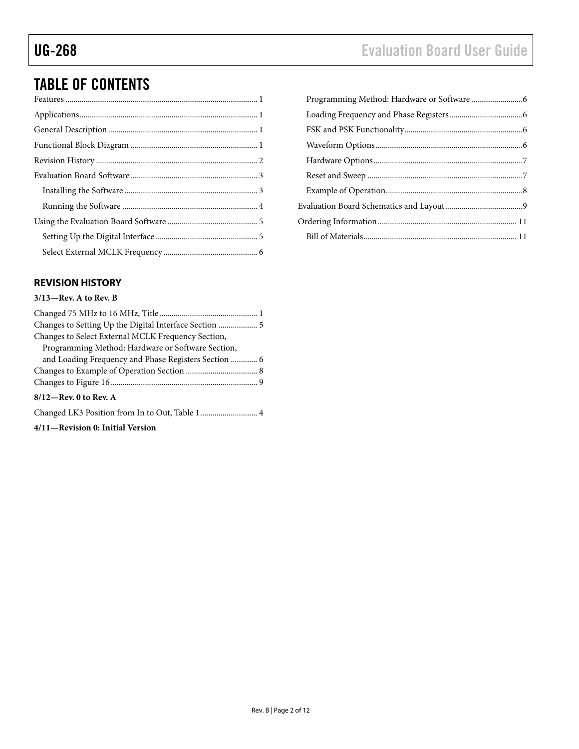# TABLE OF CONTENTS

### <span id="page-1-0"></span>**REVISION HISTORY**

#### **3/13—Rev. A to Rev. B**

| Changes to Setting Up the Digital Interface Section  5 |
|--------------------------------------------------------|
| Changes to Select External MCLK Frequency Section,     |
| Programming Method: Hardware or Software Section,      |
| and Loading Frequency and Phase Registers Section  6   |
|                                                        |
|                                                        |
| $8/12$ —Rev. 0 to Rev. A                               |
| Changed LK3 Position from In to Out, Table 1 4         |
|                                                        |

**4/11—Revision 0: Initial Version**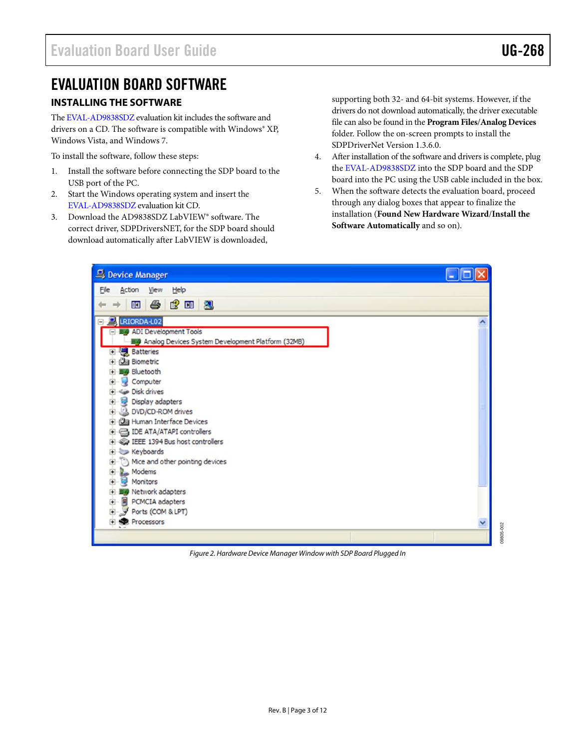## <span id="page-2-0"></span>EVALUATION BOARD SOFTWARE

#### <span id="page-2-1"></span>**INSTALLING THE SOFTWARE**

Th[e EVAL-AD9838SDZ](http://www.analog.com/AD9838?doc=UG-268.pdf) evaluation kit includes the software and drivers on a CD. The software is compatible with Windows® XP, Windows Vista, and Windows 7.

To install the software, follow these steps:

- 1. Install the software before connecting the SDP board to the USB port of the PC.
- 2. Start the Windows operating system and insert the [EVAL-AD9838SDZ](http://www.analog.com/AD9838?doc=UG-268.pdf) evaluation kit CD.
- 3. Download the AD9838SDZ LabVIEW® software. The correct driver, SDPDriversNET, for the SDP board should download automatically after LabVIEW is downloaded,

supporting both 32- and 64-bit systems. However, if the drivers do not download automatically, the driver executable file can also be found in the **Program Files**/**Analog Devices** folder. Follow the on-screen prompts to install the SDPDriverNet Version 1.3.6.0.

- 4. After installation of the software and drivers is complete, plug the [EVAL-AD9838SDZ](http://www.analog.com/AD9838?doc=UG-268.pdf) into the SDP board and the SDP board into the PC using the USB cable included in the box.
- 5. When the software detects the evaluation board, proceed through any dialog boxes that appear to finalize the installation (**Found New Hardware Wizard**/**Install the Software Automatically** and so on).



*Figure 2. Hardware Device Manager Window with SDP Board Plugged In*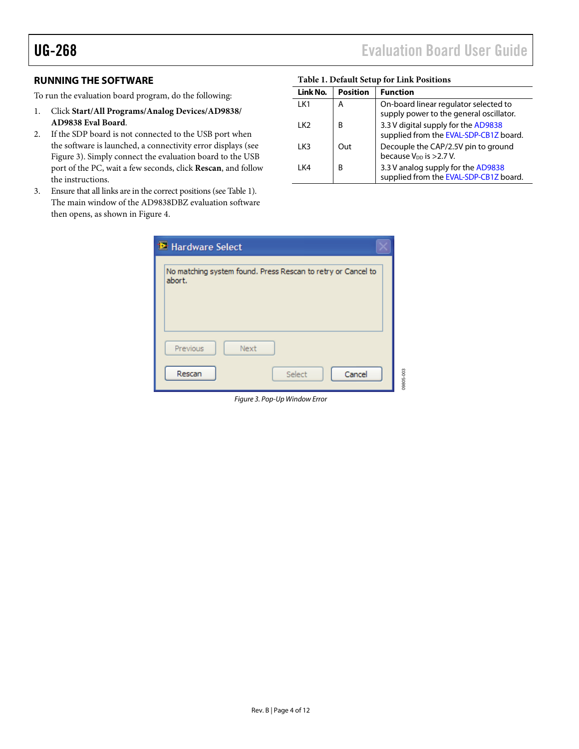#### <span id="page-3-0"></span>**RUNNING THE SOFTWARE**

To run the evaluation board program, do the following:

- 1. Click **Start/All Programs/Analog Devices/AD9838/ AD9838 Eval Board**.
- 2. If the SDP board is not connected to the USB port when the software is launched, a connectivity error displays (see [Figure 3\)](#page-3-1). Simply connect the evaluation board to the USB port of the PC, wait a few seconds, click **Rescan**, and follow the instructions.
- 3. Ensure that all links are in the correct positions (see [Table 1\)](#page-3-2). The main window of the AD9838DBZ evaluation software then opens, as shown in [Figure 4.](#page-4-2)

#### <span id="page-3-2"></span>**Table 1. Default Setup for Link Positions**

| Link No. | <b>Position</b> | <b>Function</b>                                                                  |
|----------|-----------------|----------------------------------------------------------------------------------|
| 1 K1     | А               | On-board linear regulator selected to<br>supply power to the general oscillator. |
| I K2     | B               | 3.3 V digital supply for the AD9838<br>supplied from the EVAL-SDP-CB1Z board.    |
| I K3     | Out             | Decouple the CAP/2.5V pin to ground<br>because V <sub>DD</sub> is >2.7 V.        |
| l K4     | B               | 3.3 V analog supply for the AD9838<br>supplied from the EVAL-SDP-CB1Z board.     |

<span id="page-3-1"></span>

| <b>M</b> : Hardware Select                                             |           |
|------------------------------------------------------------------------|-----------|
| No matching system found. Press Rescan to retry or Cancel to<br>abort. |           |
| Previous<br>Next                                                       |           |
| Cancel<br>Rescan<br>Select                                             | 09805-003 |

*Figure 3. Pop-Up Window Error*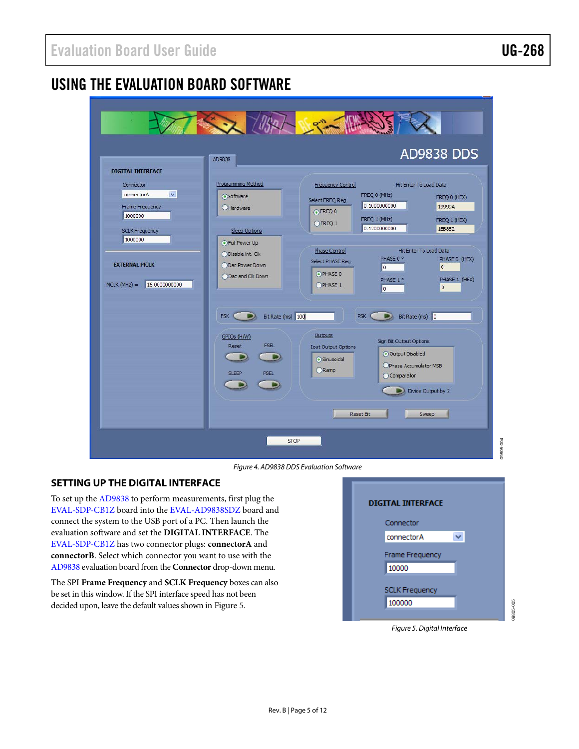## <span id="page-4-0"></span>USING THE EVALUATION BOARD SOFTWARE

|                                                                                                                                                                                                        | The Man New York                                                                                                                                                                                                                                                                                                                                                                                                                                                                                                                                                                                                                     |
|--------------------------------------------------------------------------------------------------------------------------------------------------------------------------------------------------------|--------------------------------------------------------------------------------------------------------------------------------------------------------------------------------------------------------------------------------------------------------------------------------------------------------------------------------------------------------------------------------------------------------------------------------------------------------------------------------------------------------------------------------------------------------------------------------------------------------------------------------------|
| <b>DIGITAL INTERFACE</b><br>Connector<br>$\checkmark$<br>connectorA<br><b>Frame Frequency</b><br>1000000<br><b>SCLK Frequency</b><br>1000000<br><b>EXTERNAL MCLK</b><br>16.0000000000<br>$MCLK(MHz) =$ | <b>AD9838 DDS</b><br>AD9838<br>Programming Method<br><b>Frequency Control</b><br>Hit Enter To Load Data<br>FREQ 0 (MHz)<br><b>OSoftware</b><br>FREQ 0 (HEX)<br>Select FREQ Reg<br>0.1000000000<br>19999A<br><b>O</b> Hardware<br>OFREQ 0<br>FREQ 1 (MHz)<br>FREQ 1 (HEX)<br>OFREQ 1<br>0.1200000000<br>1EB852<br><b>Sleep Options</b><br>⊙ Full Power Up<br>Hit Enter To Load Data<br>Phase Control<br>ODisable int. Clk<br>PHASE 0 °<br>PHASE 0 (HEX)<br>Select PHASE Reg<br>ODac Power Down<br>lo.<br>$\overline{0}$<br>OPHASE 0<br>ODac and Clk Down<br>PHASE 1 (HEX)<br>PHASE 1°<br>OPHASE 1<br>$\overline{0}$<br>$\overline{0}$ |
|                                                                                                                                                                                                        | Bit Rate (ms) 100<br>Bit Rate (ms) 0<br>FSK C<br>PSK C<br>Outputs<br>GPIOs (H/W)<br>Sign Bit Output Options<br><b>FSEL</b><br>Reset<br><b>Iout Output Options</b><br>O Output Disabled<br>Sinusoidal<br>OPhase Accumulator MSB<br>Ramp<br><b>SLEEP</b><br><b>PSEL</b><br>Comparator<br>Divide Output by 2<br>Reset Bit<br>Sweep                                                                                                                                                                                                                                                                                                      |

*Figure 4. AD9838 DDS Evaluation Software*

### <span id="page-4-2"></span><span id="page-4-1"></span>**SETTING UP THE DIGITAL INTERFACE**

To set up the [AD9838](http://www.analog.com/AD9838?doc=UG-268.pdf) to perform measurements, first plug the [EVAL-SDP-CB1Z](http://www.analog.com/sdplatform_userguide?doc=UG-268.pdf) board into th[e EVAL-AD9838SDZ](http://www.analog.com/AD9838?doc=UG-268.pdf) board and connect the system to the USB port of a PC. Then launch the evaluation software and set the **DIGITAL INTERFACE**. The [EVAL-SDP-CB1Z](http://www.analog.com/sdplatform_userguide?doc=UG-268.pdf) has two connector plugs: **connectorA** and **connectorB**. Select which connector you want to use with the [AD9838](http://www.analog.com/AD9838?doc=UG-268.pdf) evaluation board from the **Connector** drop-down menu.

The SPI **Frame Frequency** and **SCLK Frequency** boxes can also be set in this window. If the SPI interface speed has not been decided upon, leave the default values shown in [Figure 5.](#page-4-3) 



09805-004

09805-004

<span id="page-4-3"></span>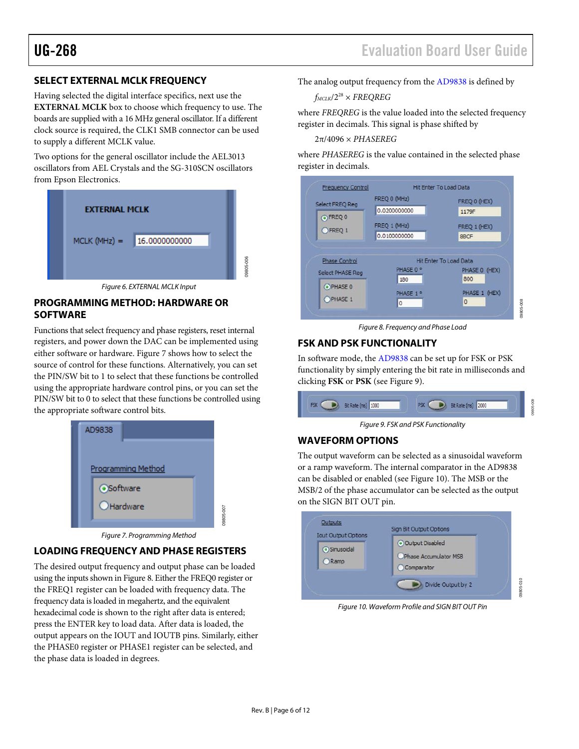#### <span id="page-5-0"></span>**SELECT EXTERNAL MCLK FREQUENCY**

Having selected the digital interface specifics, next use the **EXTERNAL MCLK** box to choose which frequency to use. The boards are supplied with a 16 MHz general oscillator. If a different clock source is required, the CLK1 SMB connector can be used to supply a different MCLK value.

Two options for the general oscillator include the AEL3013 oscillators from AEL Crystals and the SG-310SCN oscillators from Epson Electronics.



*Figure 6. EXTERNAL MCLK Input*

#### <span id="page-5-1"></span>**PROGRAMMING METHOD: HARDWARE OR SOFTWARE**

Functions that select frequency and phase registers, reset internal registers, and power down the DAC can be implemented using either software or hardware[. Figure 7](#page-5-5) shows how to select the source of control for these functions. Alternatively, you can set the PIN/SW bit to 1 to select that these functions be controlled using the appropriate hardware control pins, or you can set the PIN/SW bit to 0 to select that these functions be controlled using the appropriate software control bits.



*Figure 7. Programming Method*

## <span id="page-5-5"></span><span id="page-5-2"></span>**LOADING FREQUENCY AND PHASE REGISTERS**

The desired output frequency and output phase can be loaded using the inputs shown i[n Figure 8.](#page-5-6) Either the FREQ0 register or the FREQ1 register can be loaded with frequency data. The frequency data is loaded in megahertz, and the equivalent hexadecimal code is shown to the right after data is entered; press the ENTER key to load data. After data is loaded, the output appears on the IOUT and IOUTB pins. Similarly, either the PHASE0 register or PHASE1 register can be selected, and the phase data is loaded in degrees.

The analog output frequency from the [AD9838](http://www.analog.com/AD9838?doc=UG-268.pdf) is defined by

$$
f_{MCLK}/2^{28} \times FREGREG
$$

where *FREQREG* is the value loaded into the selected frequency register in decimals. This signal is phase shifted by

2π/4096 × *PHASEREG*

where *PHASEREG* is the value contained in the selected phase register in decimals.



*Figure 8. Frequency and Phase Load*

#### <span id="page-5-6"></span><span id="page-5-3"></span>**FSK AND PSK FUNCTIONALITY**

In software mode, the [AD9838](http://www.analog.com/AD9838?doc=UG-268.pdf) can be set up for FSK or PSK functionality by simply entering the bit rate in milliseconds and clicking **FSK** or **PSK** (se[e Figure 9\)](#page-5-7).

| m | 1000<br><b>ARRESTS</b> | 2000 |
|---|------------------------|------|
|   |                        |      |

*Figure 9. FSK and PSK Functionality*

#### <span id="page-5-7"></span><span id="page-5-4"></span>**WAVEFORM OPTIONS**

The output waveform can be selected as a sinusoidal waveform or a ramp waveform. The internal comparator in th[e AD9838](http://www.analog.com/AD9838) can be disabled or enabled (se[e Figure 10\)](#page-5-8). The MSB or the MSB/2 of the phase accumulator can be selected as the output on the SIGN BIT OUT pin.



<span id="page-5-8"></span>*Figure 10. Waveform Profile and SIGN BIT OUT Pin*

09805-010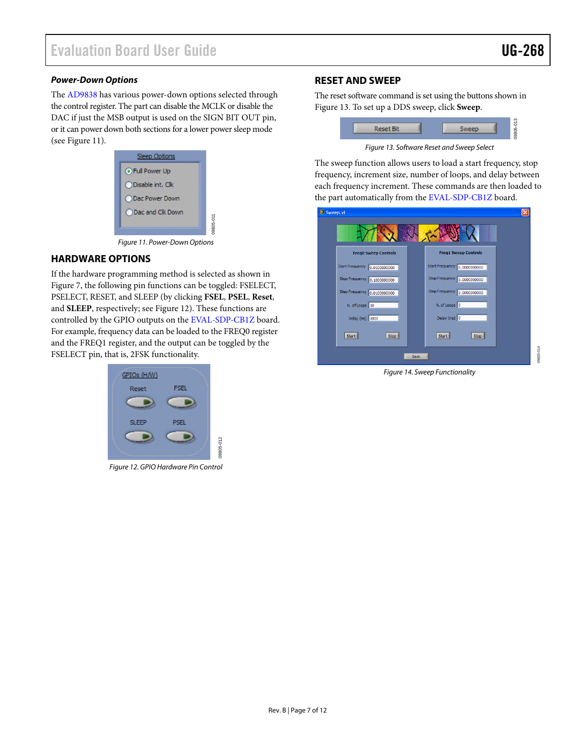09805-014

BR05-014

#### *Power-Down Options*

The [AD9838](http://www.analog.com/AD9838?doc=UG-268.pdf) has various power-down options selected through the control register. The part can disable the MCLK or disable the DAC if just the MSB output is used on the SIGN BIT OUT pin, or it can power down both sections for a lower power sleep mode (see [Figure 11\)](#page-6-2).

| Sleep Options            |           |
|--------------------------|-----------|
| <b>OFull Power Up</b>    |           |
| ODisable int. Clk        |           |
| ODac Power Down          |           |
| <b>ODac and Clk Down</b> |           |
|                          | 09805-011 |

*Figure 11. Power-Down Options*

#### <span id="page-6-2"></span><span id="page-6-0"></span>**HARDWARE OPTIONS**

If the hardware programming method is selected as shown in [Figure 7,](#page-5-5) the following pin functions can be toggled: FSELECT, PSELECT, RESET, and SLEEP (by clicking **FSEL**, **PSEL**, **Reset**, and **SLEEP**, respectively; se[e Figure 12\)](#page-6-3). These functions are controlled by the GPIO outputs on the [EVAL-SDP-CB1Z](http://www.analog.com/sdplatform_userguide?doc=UG-268.pdf) board. For example, frequency data can be loaded to the FREQ0 register and the FREQ1 register, and the output can be toggled by the FSELECT pin, that is, 2FSK functionality.



<span id="page-6-3"></span>*Figure 12. GPIO Hardware Pin Control* 

#### <span id="page-6-1"></span>**RESET AND SWEEP**

The reset software command is set using the buttons shown in [Figure 13.](#page-6-4) To set up a DDS sweep, click **Sweep**.



*Figure 13. Software Reset and Sweep Select*

<span id="page-6-4"></span>The sweep function allows users to load a start frequency, stop frequency, increment size, number of loops, and delay between each frequency increment. These commands are then loaded to the part automatically from th[e EVAL-SDP-CB1Z](http://www.analog.com/sdplatform_userguide?doc=UG-268.pdf) board.



*Figure 14. Sweep Functionality*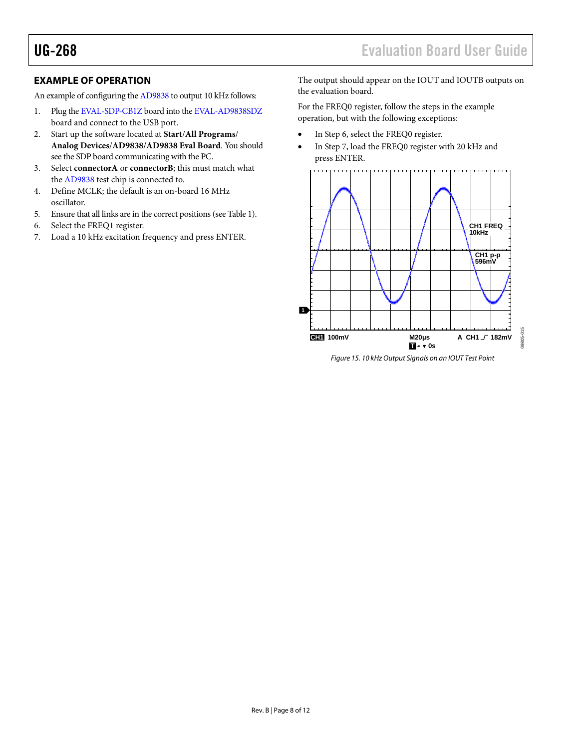<span id="page-7-0"></span>An example of configuring th[e AD9838](http://www.analog.com/AD9838?doc=UG-268.pdf) to output 10 kHz follows:

- 1. Plug th[e EVAL-SDP-CB1Z](http://www.analog.com/sdplatform_userguide?doc=UG-268.pdf) board into th[e EVAL-AD9838SDZ](http://www.analog.com/AD9838?doc=UG-268.pdf) board and connect to the USB port.
- 2. Start up the software located at **Start**/**All Programs**/ **Analog Devices**/**AD9838**/**AD9838 Eval Board**. You should see the SDP board communicating with the PC.
- 3. Select **connectorA** or **connectorB**; this must match what the [AD9838](http://www.analog.com/AD9838?doc=UG-268.pdf) test chip is connected to.
- 4. Define MCLK; the default is an on-board 16 MHz oscillator.
- 5. Ensure that all links are in the correct positions (se[e Table 1\)](#page-3-2).
- 6. Select the FREQ1 register.
- 7. Load a 10 kHz excitation frequency and press ENTER.

UG-268 Evaluation Board User Guide

The output should appear on the IOUT and IOUTB outputs on the evaluation board.

For the FREQ0 register, follow the steps in the example operation, but with the following exceptions:

- In Step 6, select the FREQ0 register.
- In Step 7, load the FREQ0 register with 20 kHz and press ENTER.



*Figure 15. 10 kHz Output Signals on an IOUT Test Point*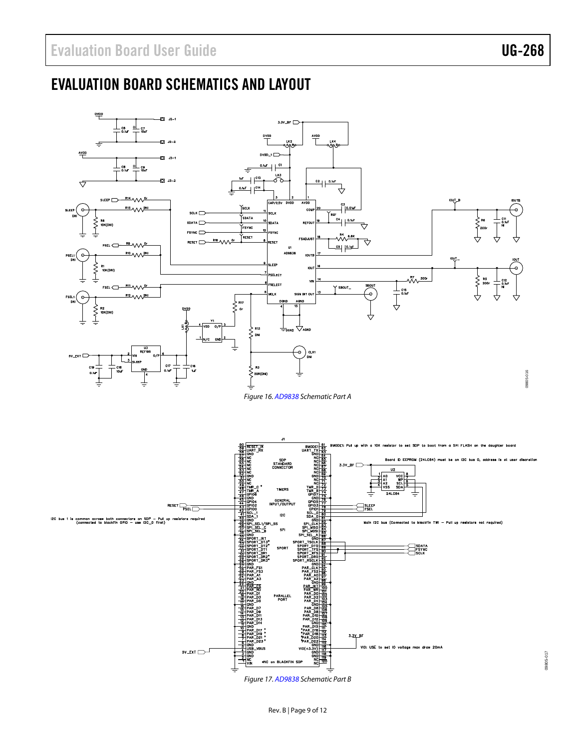# <span id="page-8-0"></span>EVALUATION BOARD SCHEMATICS AND LAYOUT





Rev. B | Page 9 of 12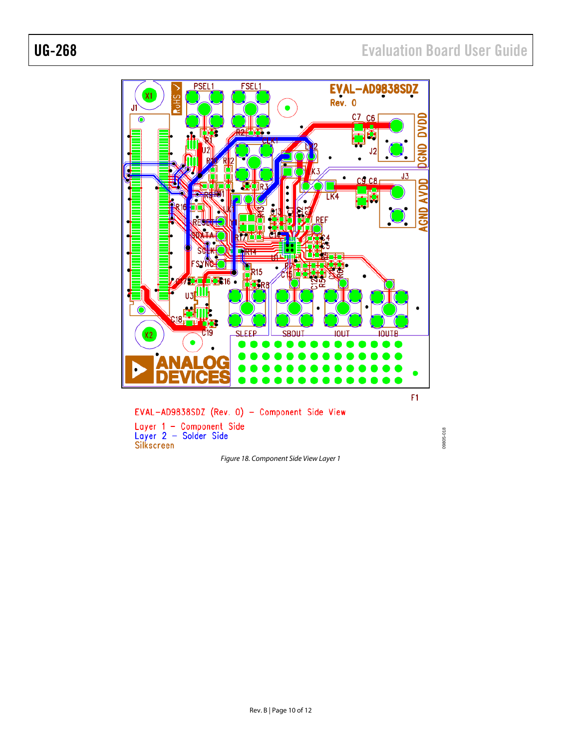

*Figure 18. Component Side View Layer 1*

09805-018 09805-018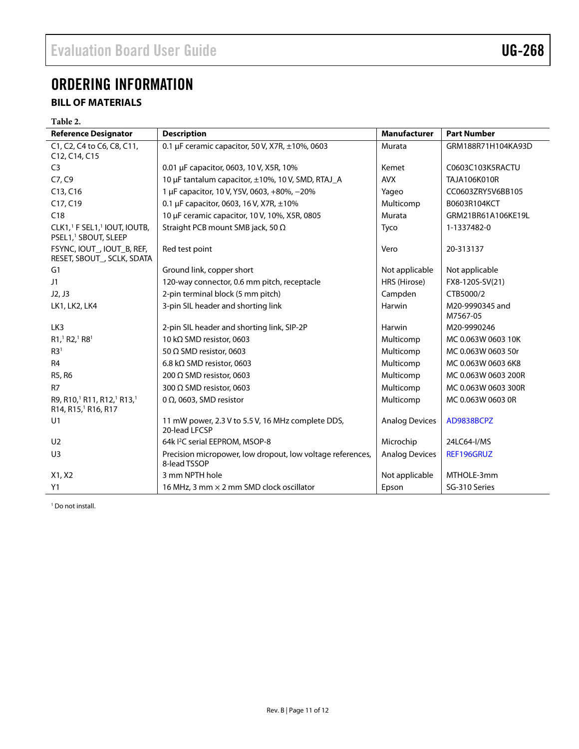# <span id="page-10-0"></span>ORDERING INFORMATION

## <span id="page-10-1"></span>**BILL OF MATERIALS**

#### **Table 2.**

| <b>Reference Designator</b>                                                                       | <b>Description</b>                                                         | Manufacturer          | <b>Part Number</b>          |
|---------------------------------------------------------------------------------------------------|----------------------------------------------------------------------------|-----------------------|-----------------------------|
| C1, C2, C4 to C6, C8, C11,<br>C12, C14, C15                                                       | 0.1 µF ceramic capacitor, 50 V, X7R, ±10%, 0603                            | Murata                | GRM188R71H104KA93D          |
| C <sub>3</sub>                                                                                    | 0.01 µF capacitor, 0603, 10 V, X5R, 10%                                    | Kemet                 | C0603C103K5RACTU            |
| C7, C9                                                                                            | 10 µF tantalum capacitor, ±10%, 10 V, SMD, RTAJ_A                          | <b>AVX</b>            | <b>TAJA106K010R</b>         |
| $C$ 13, $C$ 16                                                                                    | 1 µF capacitor, 10 V, Y5V, 0603, +80%, -20%                                | Yageo                 | CC0603ZRY5V6BB105           |
| C17, C19                                                                                          | 0.1 µF capacitor, 0603, 16 V, X7R, ±10%                                    | Multicomp             | B0603R104KCT                |
| C18                                                                                               | 10 µF ceramic capacitor, 10 V, 10%, X5R, 0805                              | Murata                | GRM21BR61A106KE19L          |
| CLK1, <sup>1</sup> F SEL1, <sup>1</sup> IOUT, IOUTB,<br>PSEL1, <sup>1</sup> SBOUT, SLEEP          | Straight PCB mount SMB jack, 50 $\Omega$                                   | Tyco                  | 1-1337482-0                 |
| FSYNC, IOUT_, IOUT_B, REF,<br>RESET, SBOUT_, SCLK, SDATA                                          | Red test point                                                             | Vero                  | 20-313137                   |
| G1                                                                                                | Ground link, copper short                                                  | Not applicable        | Not applicable              |
| J1                                                                                                | 120-way connector, 0.6 mm pitch, receptacle                                | HRS (Hirose)          | FX8-120S-SV(21)             |
| J2, J3                                                                                            | 2-pin terminal block (5 mm pitch)                                          | Campden               | CTB5000/2                   |
| LK1, LK2, LK4                                                                                     | 3-pin SIL header and shorting link                                         | Harwin                | M20-9990345 and<br>M7567-05 |
| LK3                                                                                               | 2-pin SIL header and shorting link, SIP-2P                                 | Harwin                | M20-9990246                 |
| R1,1 R2,1 R81                                                                                     | 10 kΩ SMD resistor, 0603                                                   | Multicomp             | MC 0.063W 0603 10K          |
| R3 <sup>1</sup>                                                                                   | 50 $\Omega$ SMD resistor, 0603                                             | Multicomp             | MC 0.063W 0603 50r          |
| R <sub>4</sub>                                                                                    | 6.8 k $\Omega$ SMD resistor, 0603                                          | Multicomp             | MC 0.063W 0603 6K8          |
| R5, R6                                                                                            | 200 $\Omega$ SMD resistor, 0603                                            | Multicomp             | MC 0.063W 0603 200R         |
| R <sub>7</sub>                                                                                    | 300 $\Omega$ SMD resistor, 0603                                            | Multicomp             | MC 0.063W 0603 300R         |
| R9, R10, <sup>1</sup> R11, R12, <sup>1</sup> R13, <sup>1</sup><br>R14, R15, <sup>1</sup> R16, R17 | 0 $\Omega$ , 0603, SMD resistor                                            | Multicomp             | MC 0.063W 0603 0R           |
| U1                                                                                                | 11 mW power, 2.3 V to 5.5 V, 16 MHz complete DDS,<br>20-lead LFCSP         | <b>Analog Devices</b> | AD9838BCPZ                  |
| U <sub>2</sub>                                                                                    | 64k <sup>2</sup> C serial EEPROM, MSOP-8                                   | Microchip             | 24LC64-I/MS                 |
| U <sub>3</sub>                                                                                    | Precision micropower, low dropout, low voltage references,<br>8-lead TSSOP | <b>Analog Devices</b> | REF196GRUZ                  |
| X1, X2                                                                                            | 3 mm NPTH hole                                                             | Not applicable        | MTHOLE-3mm                  |
| Y1                                                                                                | 16 MHz, 3 mm × 2 mm SMD clock oscillator                                   | Epson                 | SG-310 Series               |

<sup>1</sup> Do not install.